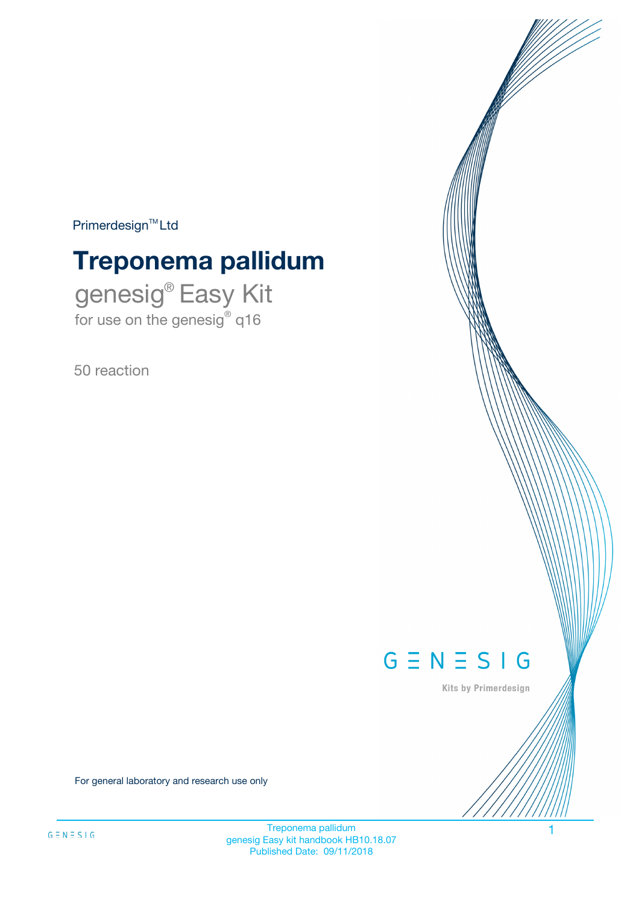$Primerdesign^{\text{TM}}Ltd$ 

# **Treponema pallidum**

genesig® Easy Kit for use on the genesig® q16

50 reaction



Kits by Primerdesign

For general laboratory and research use only

Treponema pallidum 1 genesig Easy kit handbook HB10.18.07 Published Date: 09/11/2018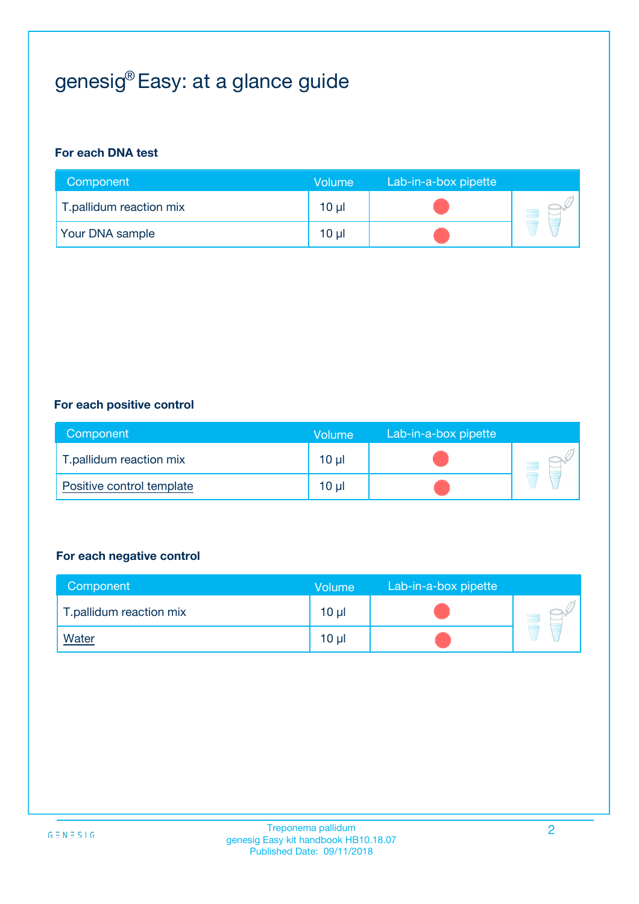## genesig® Easy: at a glance guide

#### **For each DNA test**

| Component               | <b>Volume</b> | Lab-in-a-box pipette |  |
|-------------------------|---------------|----------------------|--|
| T.pallidum reaction mix | 10 µl         |                      |  |
| <b>Your DNA sample</b>  | $10 \mu$      |                      |  |

#### **For each positive control**

| Component                 | Volume          | Lab-in-a-box pipette |  |
|---------------------------|-----------------|----------------------|--|
| T.pallidum reaction mix   | 10 <sub>µ</sub> |                      |  |
| Positive control template | 10 <sub>µ</sub> |                      |  |

#### **For each negative control**

| Component               | <b>Volume</b>   | Lab-in-a-box pipette |  |
|-------------------------|-----------------|----------------------|--|
| T.pallidum reaction mix | 10 <sub>µ</sub> |                      |  |
| <u>Water</u>            | 10 <sub>µ</sub> |                      |  |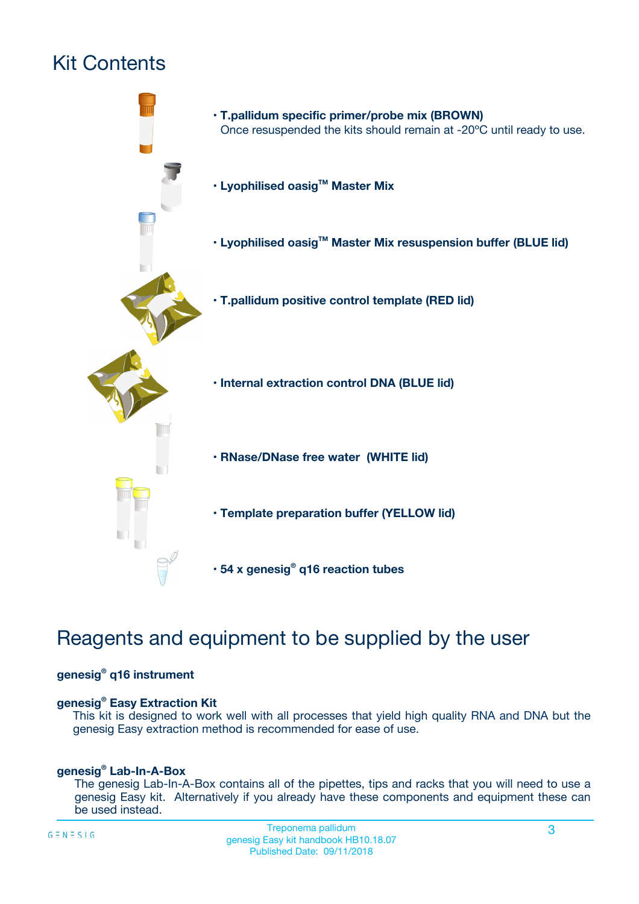## Kit Contents



## Reagents and equipment to be supplied by the user

#### **genesig® q16 instrument**

#### **genesig® Easy Extraction Kit**

This kit is designed to work well with all processes that yield high quality RNA and DNA but the genesig Easy extraction method is recommended for ease of use.

#### **genesig® Lab-In-A-Box**

The genesig Lab-In-A-Box contains all of the pipettes, tips and racks that you will need to use a genesig Easy kit. Alternatively if you already have these components and equipment these can be used instead.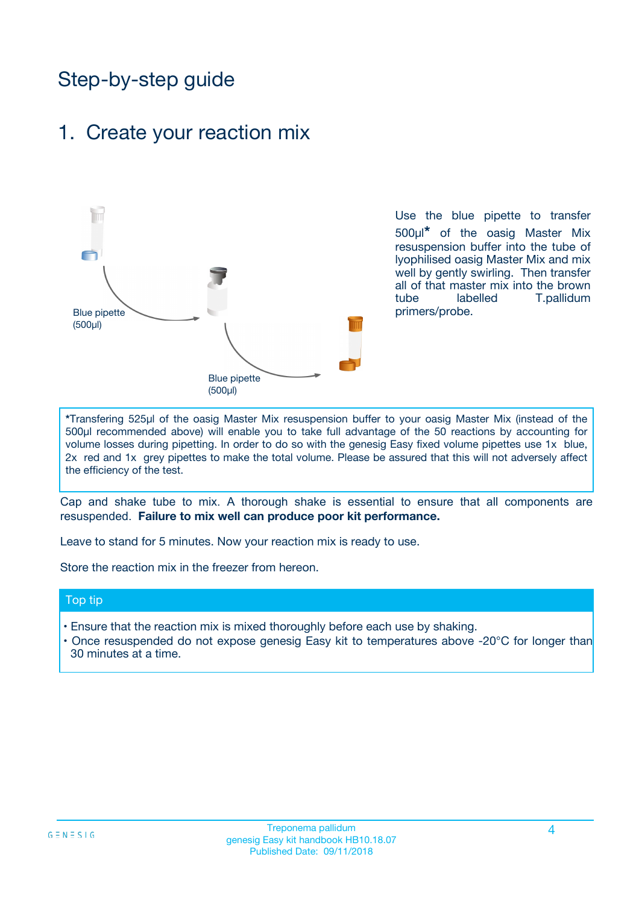## Step-by-step guide

### 1. Create your reaction mix



Use the blue pipette to transfer 500µl**\*** of the oasig Master Mix resuspension buffer into the tube of lyophilised oasig Master Mix and mix well by gently swirling. Then transfer all of that master mix into the brown tube labelled T.pallidum primers/probe.

**\***Transfering 525µl of the oasig Master Mix resuspension buffer to your oasig Master Mix (instead of the 500µl recommended above) will enable you to take full advantage of the 50 reactions by accounting for volume losses during pipetting. In order to do so with the genesig Easy fixed volume pipettes use 1x blue, 2x red and 1x grey pipettes to make the total volume. Please be assured that this will not adversely affect the efficiency of the test.

Cap and shake tube to mix. A thorough shake is essential to ensure that all components are resuspended. **Failure to mix well can produce poor kit performance.**

Leave to stand for 5 minutes. Now your reaction mix is ready to use.

Store the reaction mix in the freezer from hereon.

#### Top tip

- Ensure that the reaction mix is mixed thoroughly before each use by shaking.
- **•** Once resuspended do not expose genesig Easy kit to temperatures above -20°C for longer than 30 minutes at a time.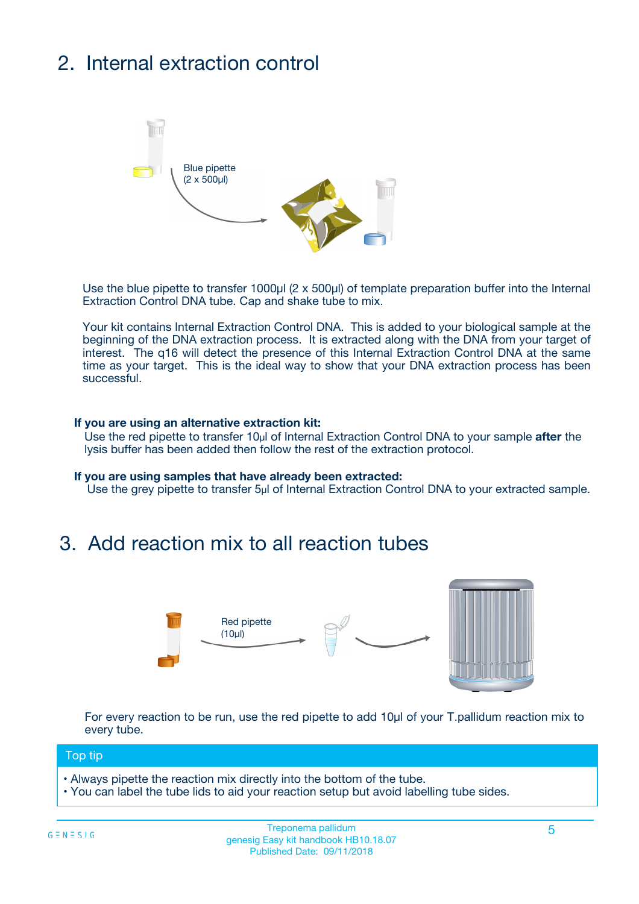## 2. Internal extraction control



Use the blue pipette to transfer 1000µl (2 x 500µl) of template preparation buffer into the Internal Extraction Control DNA tube. Cap and shake tube to mix.

Your kit contains Internal Extraction Control DNA. This is added to your biological sample at the beginning of the DNA extraction process. It is extracted along with the DNA from your target of interest. The q16 will detect the presence of this Internal Extraction Control DNA at the same time as your target. This is the ideal way to show that your DNA extraction process has been **successful.** 

#### **If you are using an alternative extraction kit:**

Use the red pipette to transfer 10µl of Internal Extraction Control DNA to your sample **after** the lysis buffer has been added then follow the rest of the extraction protocol.

#### **If you are using samples that have already been extracted:**

Use the grey pipette to transfer 5µl of Internal Extraction Control DNA to your extracted sample.

### 3. Add reaction mix to all reaction tubes



For every reaction to be run, use the red pipette to add 10µl of your T.pallidum reaction mix to every tube.

#### Top tip

- Always pipette the reaction mix directly into the bottom of the tube.
- You can label the tube lids to aid your reaction setup but avoid labelling tube sides.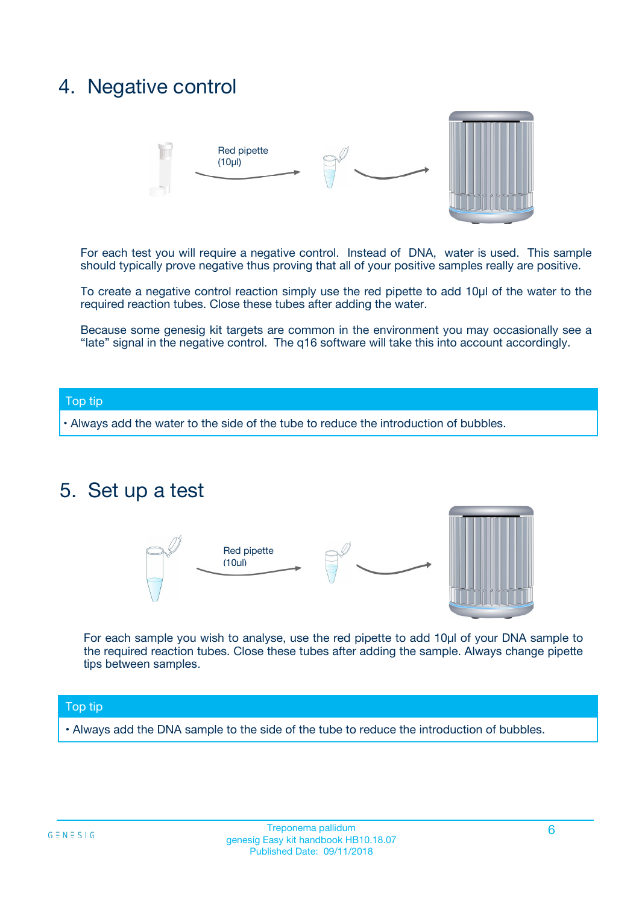### 4. Negative control



For each test you will require a negative control. Instead of DNA, water is used. This sample should typically prove negative thus proving that all of your positive samples really are positive.

To create a negative control reaction simply use the red pipette to add 10µl of the water to the required reaction tubes. Close these tubes after adding the water.

Because some genesig kit targets are common in the environment you may occasionally see a "late" signal in the negative control. The q16 software will take this into account accordingly.

#### Top tip

**•** Always add the water to the side of the tube to reduce the introduction of bubbles.

### 5. Set up a test



For each sample you wish to analyse, use the red pipette to add 10µl of your DNA sample to the required reaction tubes. Close these tubes after adding the sample. Always change pipette tips between samples.

#### Top tip

**•** Always add the DNA sample to the side of the tube to reduce the introduction of bubbles.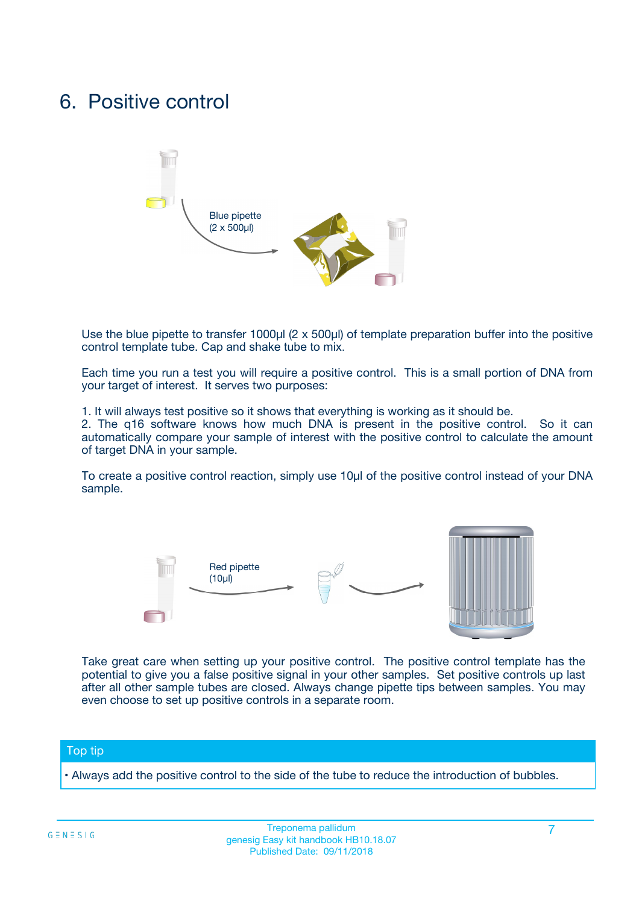### 6. Positive control



Use the blue pipette to transfer 1000µl (2 x 500µl) of template preparation buffer into the positive control template tube. Cap and shake tube to mix.

Each time you run a test you will require a positive control. This is a small portion of DNA from your target of interest. It serves two purposes:

1. It will always test positive so it shows that everything is working as it should be.

2. The q16 software knows how much DNA is present in the positive control. So it can automatically compare your sample of interest with the positive control to calculate the amount of target DNA in your sample.

To create a positive control reaction, simply use 10µl of the positive control instead of your DNA sample.



Take great care when setting up your positive control. The positive control template has the potential to give you a false positive signal in your other samples. Set positive controls up last after all other sample tubes are closed. Always change pipette tips between samples. You may even choose to set up positive controls in a separate room.

#### Top tip

**•** Always add the positive control to the side of the tube to reduce the introduction of bubbles.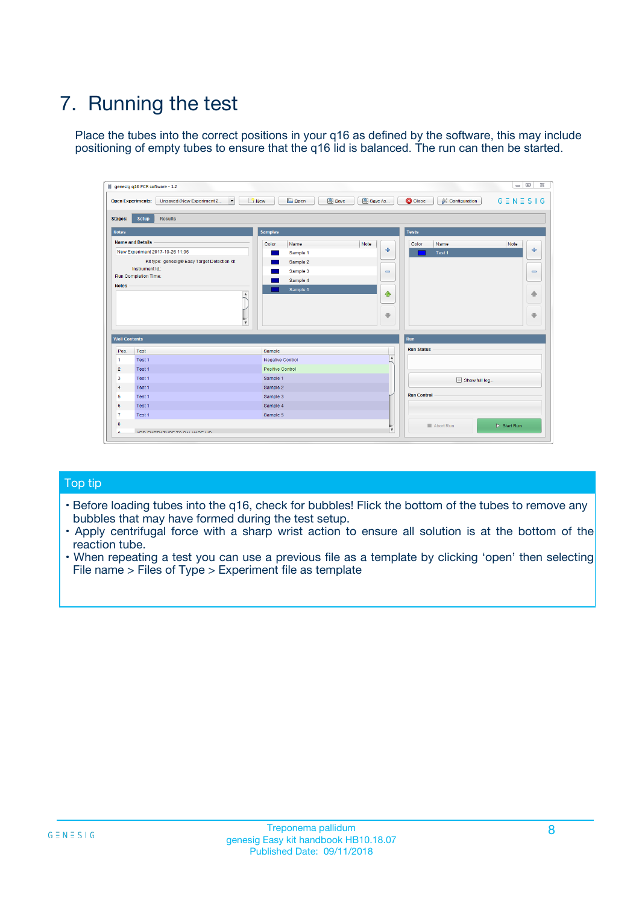## 7. Running the test

Place the tubes into the correct positions in your q16 as defined by the software, this may include positioning of empty tubes to ensure that the q16 lid is balanced. The run can then be started.

| genesig q16 PCR software - 1.2                                               |                                     | $\Box$                                                                                  |
|------------------------------------------------------------------------------|-------------------------------------|-----------------------------------------------------------------------------------------|
| Unsaved (New Experiment 2<br>$\vert \cdot \vert$<br><b>Open Experiments:</b> | <b>D</b> Open<br>Save<br>$\Box$ New | Save As<br><b>C</b> Close<br>$G \equiv N \equiv S \mid G$<br><b>&amp; Configuration</b> |
| Setup<br><b>Results</b><br><b>Stages:</b>                                    |                                     |                                                                                         |
| <b>Notes</b>                                                                 | Samples                             | <b>Tests</b>                                                                            |
| <b>Name and Details</b>                                                      | Color<br>Name                       | Note<br>Color<br>Note<br>Name                                                           |
| New Experiment 2017-10-26 11:06                                              | Sample 1                            | 条<br>علي<br>Test 1                                                                      |
| Kit type: genesig® Easy Target Detection kit                                 | Sample 2                            |                                                                                         |
| Instrument Id.:                                                              | Sample 3                            | $\qquad \qquad \blacksquare$<br>$\qquad \qquad \blacksquare$                            |
| Run Completion Time:                                                         | Sample 4                            |                                                                                         |
| <b>Notes</b>                                                                 | Sample 5<br>A<br>v                  | $\triangle$<br>4<br>$\oplus$<br>₩                                                       |
| <b>Well Contents</b>                                                         |                                     | <b>Run</b>                                                                              |
| Pos.<br>Test                                                                 | Sample                              | <b>Run Status</b>                                                                       |
| Test 1<br>-1                                                                 | <b>Negative Control</b>             | $\blacktriangle$                                                                        |
| $\overline{2}$<br>Test 1                                                     | <b>Positive Control</b>             |                                                                                         |
| $\overline{\mathbf{3}}$<br>Test 1                                            | Sample 1                            | Show full log                                                                           |
| Test 1<br>$\overline{4}$                                                     | Sample 2                            |                                                                                         |
| 5<br>Test 1                                                                  | Sample 3                            | <b>Run Control</b>                                                                      |
| 6<br>Test 1                                                                  | Sample 4                            |                                                                                         |
| $\overline{7}$<br>Test 1                                                     | Sample 5                            |                                                                                         |
| 8                                                                            |                                     | $\triangleright$ Start Run<br>Abort Run                                                 |
| <b>JOD FURTY TUDE TO BUILDED IN</b>                                          |                                     | $\overline{\mathbf{v}}$                                                                 |

#### Top tip

- Before loading tubes into the q16, check for bubbles! Flick the bottom of the tubes to remove any bubbles that may have formed during the test setup.
- Apply centrifugal force with a sharp wrist action to ensure all solution is at the bottom of the reaction tube.
- When repeating a test you can use a previous file as a template by clicking 'open' then selecting File name > Files of Type > Experiment file as template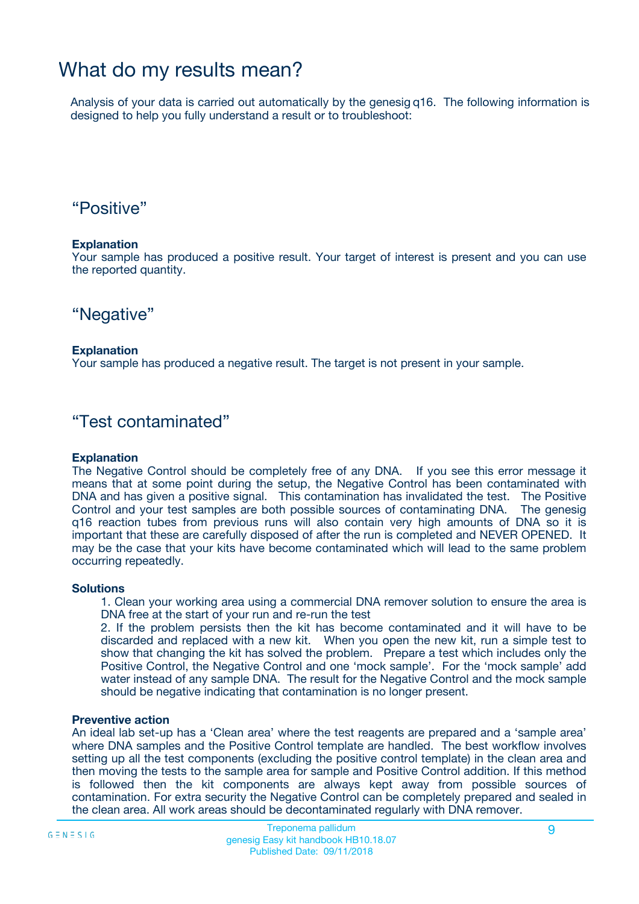### What do my results mean?

Analysis of your data is carried out automatically by the genesig q16. The following information is designed to help you fully understand a result or to troubleshoot:

### "Positive"

#### **Explanation**

Your sample has produced a positive result. Your target of interest is present and you can use the reported quantity.

"Negative"

#### **Explanation**

Your sample has produced a negative result. The target is not present in your sample.

### "Test contaminated"

#### **Explanation**

The Negative Control should be completely free of any DNA. If you see this error message it means that at some point during the setup, the Negative Control has been contaminated with DNA and has given a positive signal. This contamination has invalidated the test. The Positive Control and your test samples are both possible sources of contaminating DNA. The genesig q16 reaction tubes from previous runs will also contain very high amounts of DNA so it is important that these are carefully disposed of after the run is completed and NEVER OPENED. It may be the case that your kits have become contaminated which will lead to the same problem occurring repeatedly.

#### **Solutions**

1. Clean your working area using a commercial DNA remover solution to ensure the area is DNA free at the start of your run and re-run the test

2. If the problem persists then the kit has become contaminated and it will have to be discarded and replaced with a new kit. When you open the new kit, run a simple test to show that changing the kit has solved the problem. Prepare a test which includes only the Positive Control, the Negative Control and one 'mock sample'. For the 'mock sample' add water instead of any sample DNA. The result for the Negative Control and the mock sample should be negative indicating that contamination is no longer present.

#### **Preventive action**

An ideal lab set-up has a 'Clean area' where the test reagents are prepared and a 'sample area' where DNA samples and the Positive Control template are handled. The best workflow involves setting up all the test components (excluding the positive control template) in the clean area and then moving the tests to the sample area for sample and Positive Control addition. If this method is followed then the kit components are always kept away from possible sources of contamination. For extra security the Negative Control can be completely prepared and sealed in the clean area. All work areas should be decontaminated regularly with DNA remover.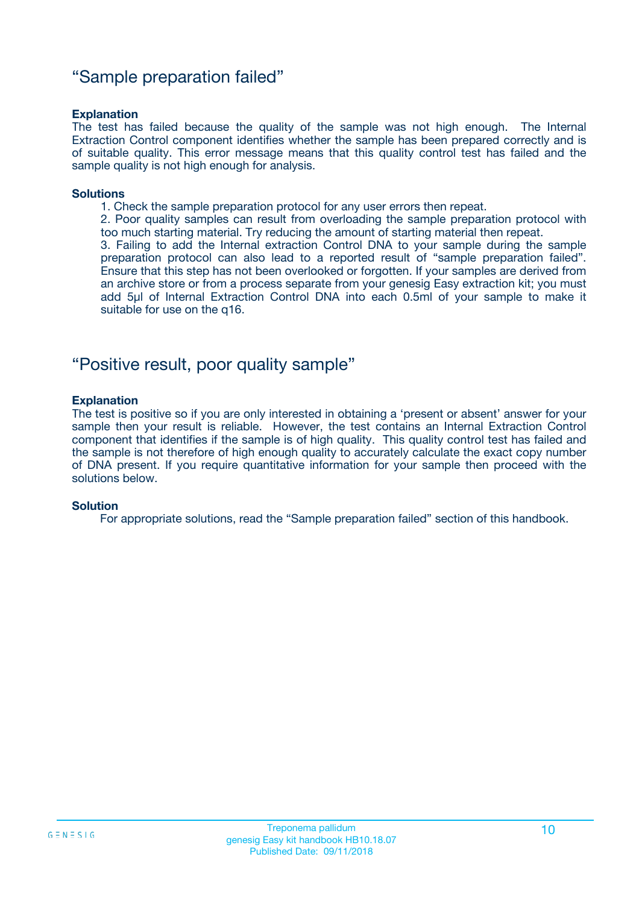### "Sample preparation failed"

#### **Explanation**

The test has failed because the quality of the sample was not high enough. The Internal Extraction Control component identifies whether the sample has been prepared correctly and is of suitable quality. This error message means that this quality control test has failed and the sample quality is not high enough for analysis.

#### **Solutions**

1. Check the sample preparation protocol for any user errors then repeat.

2. Poor quality samples can result from overloading the sample preparation protocol with too much starting material. Try reducing the amount of starting material then repeat.

3. Failing to add the Internal extraction Control DNA to your sample during the sample preparation protocol can also lead to a reported result of "sample preparation failed". Ensure that this step has not been overlooked or forgotten. If your samples are derived from an archive store or from a process separate from your genesig Easy extraction kit; you must add 5µl of Internal Extraction Control DNA into each 0.5ml of your sample to make it suitable for use on the q16.

### "Positive result, poor quality sample"

#### **Explanation**

The test is positive so if you are only interested in obtaining a 'present or absent' answer for your sample then your result is reliable. However, the test contains an Internal Extraction Control component that identifies if the sample is of high quality. This quality control test has failed and the sample is not therefore of high enough quality to accurately calculate the exact copy number of DNA present. If you require quantitative information for your sample then proceed with the solutions below.

#### **Solution**

For appropriate solutions, read the "Sample preparation failed" section of this handbook.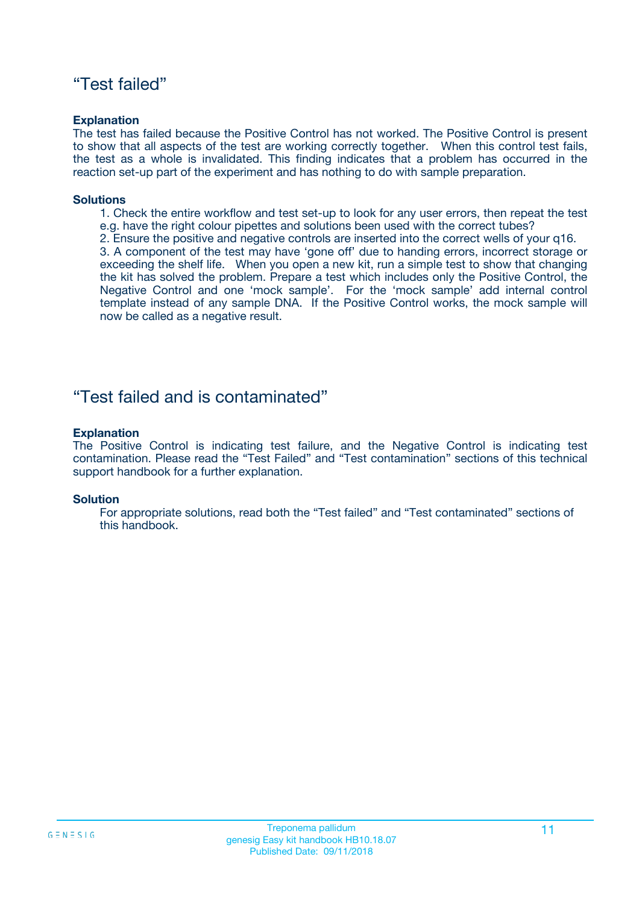### "Test failed"

#### **Explanation**

The test has failed because the Positive Control has not worked. The Positive Control is present to show that all aspects of the test are working correctly together. When this control test fails, the test as a whole is invalidated. This finding indicates that a problem has occurred in the reaction set-up part of the experiment and has nothing to do with sample preparation.

#### **Solutions**

- 1. Check the entire workflow and test set-up to look for any user errors, then repeat the test e.g. have the right colour pipettes and solutions been used with the correct tubes?
- 2. Ensure the positive and negative controls are inserted into the correct wells of your q16.

3. A component of the test may have 'gone off' due to handing errors, incorrect storage or exceeding the shelf life. When you open a new kit, run a simple test to show that changing the kit has solved the problem. Prepare a test which includes only the Positive Control, the Negative Control and one 'mock sample'. For the 'mock sample' add internal control template instead of any sample DNA. If the Positive Control works, the mock sample will now be called as a negative result.

### "Test failed and is contaminated"

#### **Explanation**

The Positive Control is indicating test failure, and the Negative Control is indicating test contamination. Please read the "Test Failed" and "Test contamination" sections of this technical support handbook for a further explanation.

#### **Solution**

For appropriate solutions, read both the "Test failed" and "Test contaminated" sections of this handbook.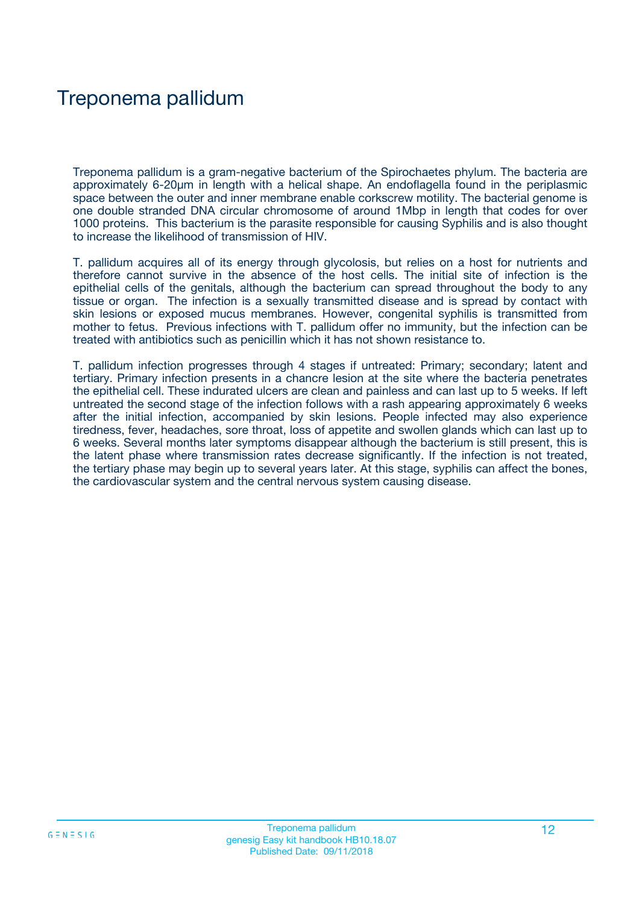## Treponema pallidum

Treponema pallidum is a gram-negative bacterium of the Spirochaetes phylum. The bacteria are approximately 6-20μm in length with a helical shape. An endoflagella found in the periplasmic space between the outer and inner membrane enable corkscrew motility. The bacterial genome is one double stranded DNA circular chromosome of around 1Mbp in length that codes for over 1000 proteins. This bacterium is the parasite responsible for causing Syphilis and is also thought to increase the likelihood of transmission of HIV.

T. pallidum acquires all of its energy through glycolosis, but relies on a host for nutrients and therefore cannot survive in the absence of the host cells. The initial site of infection is the epithelial cells of the genitals, although the bacterium can spread throughout the body to any tissue or organ. The infection is a sexually transmitted disease and is spread by contact with skin lesions or exposed mucus membranes. However, congenital syphilis is transmitted from mother to fetus. Previous infections with T. pallidum offer no immunity, but the infection can be treated with antibiotics such as penicillin which it has not shown resistance to.

T. pallidum infection progresses through 4 stages if untreated: Primary; secondary; latent and tertiary. Primary infection presents in a chancre lesion at the site where the bacteria penetrates the epithelial cell. These indurated ulcers are clean and painless and can last up to 5 weeks. If left untreated the second stage of the infection follows with a rash appearing approximately 6 weeks after the initial infection, accompanied by skin lesions. People infected may also experience tiredness, fever, headaches, sore throat, loss of appetite and swollen glands which can last up to 6 weeks. Several months later symptoms disappear although the bacterium is still present, this is the latent phase where transmission rates decrease significantly. If the infection is not treated, the tertiary phase may begin up to several years later. At this stage, syphilis can affect the bones, the cardiovascular system and the central nervous system causing disease.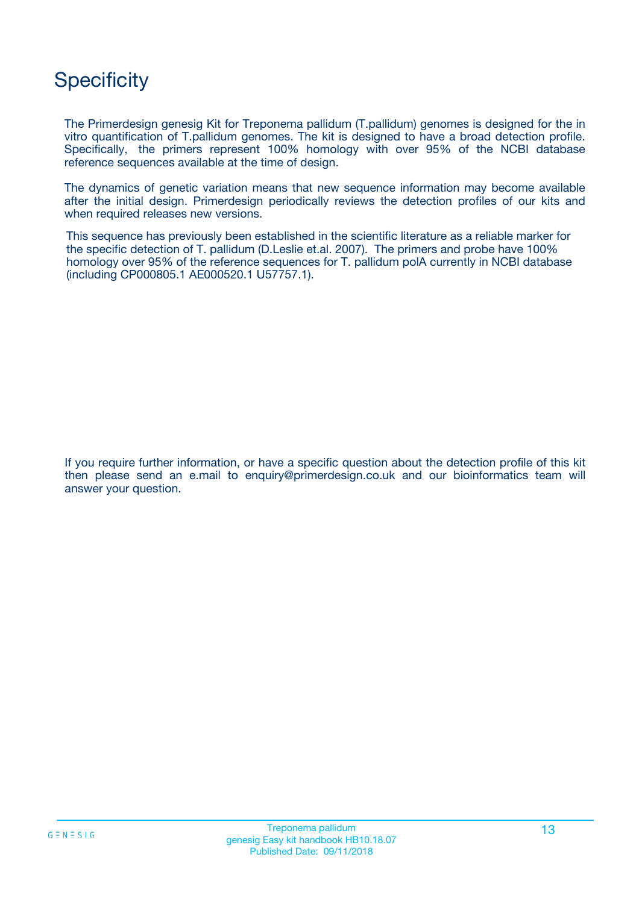## **Specificity**

The Primerdesign genesig Kit for Treponema pallidum (T.pallidum) genomes is designed for the in vitro quantification of T.pallidum genomes. The kit is designed to have a broad detection profile. Specifically, the primers represent 100% homology with over 95% of the NCBI database reference sequences available at the time of design.

The dynamics of genetic variation means that new sequence information may become available after the initial design. Primerdesign periodically reviews the detection profiles of our kits and when required releases new versions.

This sequence has previously been established in the scientific literature as a reliable marker for the specific detection of T. pallidum (D.Leslie et.al. 2007). The primers and probe have 100% homology over 95% of the reference sequences for T. pallidum polA currently in NCBI database (including CP000805.1 AE000520.1 U57757.1).

If you require further information, or have a specific question about the detection profile of this kit then please send an e.mail to enquiry@primerdesign.co.uk and our bioinformatics team will answer your question.